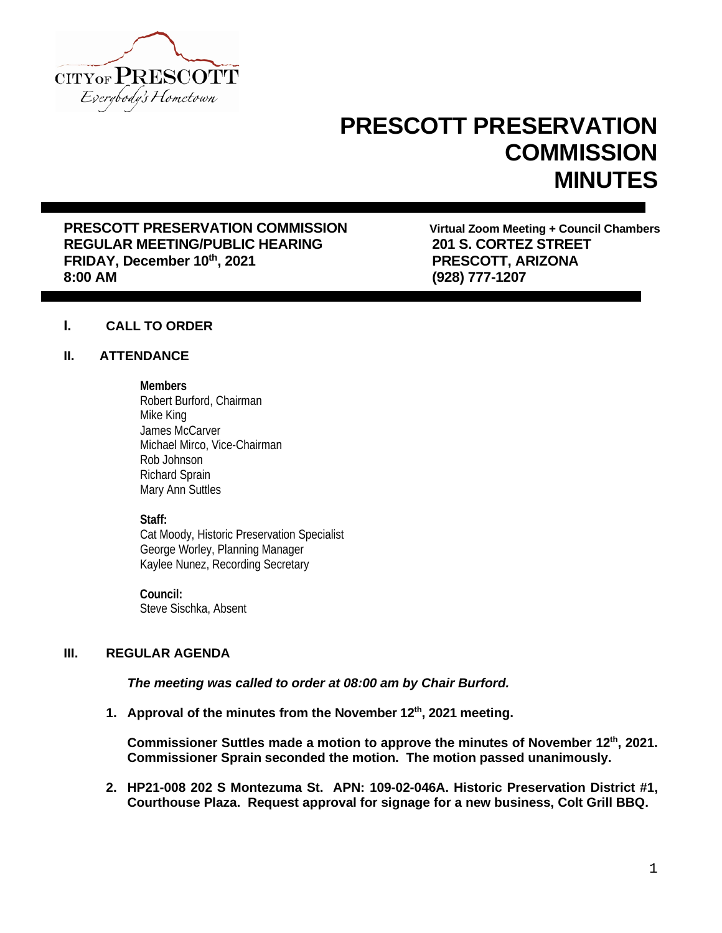

# **PRESCOTT PRESERVATION COMMISSION MINUTES**

**PRESCOTT PRESERVATION COMMISSION**<br>
REGULAR MEETING/PUBLIC HEARING<br>
201 S. CORTEZ STREET **REGULAR MEETING/PUBLIC HEARING 201 S. CORTEZ STREET FRIDAY, December 10th, 2021 8:00 AM (928) 777-1207**

## **I. CALL TO ORDER**

## **II. ATTENDANCE**

#### **Members**

Robert Burford, Chairman Mike King James McCarver Michael Mirco, Vice-Chairman Rob Johnson Richard Sprain Mary Ann Suttles

## **Staff:**

Cat Moody, Historic Preservation Specialist George Worley, Planning Manager Kaylee Nunez, Recording Secretary

**Council:** Steve Sischka, Absent

## **III. REGULAR AGENDA**

*The meeting was called to order at 08:00 am by Chair Burford.*

**1. Approval of the minutes from the November 12th, 2021 meeting.**

**Commissioner Suttles made a motion to approve the minutes of November 12th, 2021. Commissioner Sprain seconded the motion. The motion passed unanimously.**

**2. HP21-008 202 S Montezuma St. APN: 109-02-046A. Historic Preservation District #1, Courthouse Plaza. Request approval for signage for a new business, Colt Grill BBQ.**